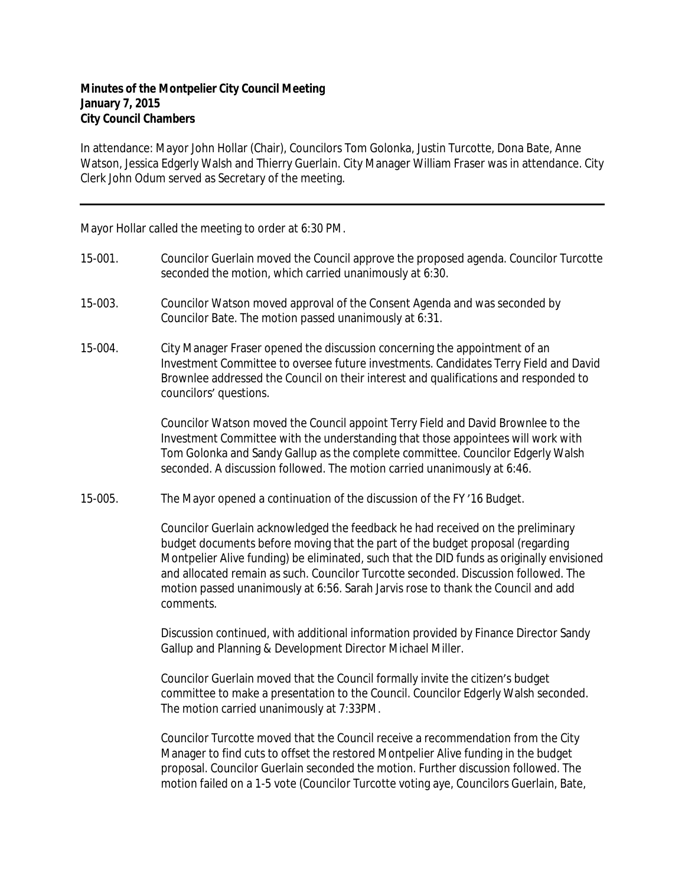In attendance: Mayor John Hollar (Chair), Councilors Tom Golonka, Justin Turcotte, Dona Bate, Anne Watson, Jessica Edgerly Walsh and Thierry Guerlain. City Manager William Fraser was in attendance. City Clerk John Odum served as Secretary of the meeting.

Mayor Hollar called the meeting to order at 6:30 PM.

- 15-001. Councilor Guerlain moved the Council approve the proposed agenda. Councilor Turcotte seconded the motion, which carried unanimously at 6:30.
- 15-003. Councilor Watson moved approval of the Consent Agenda and was seconded by Councilor Bate. The motion passed unanimously at 6:31.
- 15-004. City Manager Fraser opened the discussion concerning the appointment of an Investment Committee to oversee future investments. Candidates Terry Field and David Brownlee addressed the Council on their interest and qualifications and responded to councilors' questions.

Councilor Watson moved the Council appoint Terry Field and David Brownlee to the Investment Committee with the understanding that those appointees will work with Tom Golonka and Sandy Gallup as the complete committee. Councilor Edgerly Walsh seconded. A discussion followed. The motion carried unanimously at 6:46.

15-005. The Mayor opened a continuation of the discussion of the FY '16 Budget.

Councilor Guerlain acknowledged the feedback he had received on the preliminary budget documents before moving that the part of the budget proposal (regarding Montpelier Alive funding) be eliminated, such that the DID funds as originally envisioned and allocated remain as such. Councilor Turcotte seconded. Discussion followed. The motion passed unanimously at 6:56. Sarah Jarvis rose to thank the Council and add comments.

Discussion continued, with additional information provided by Finance Director Sandy Gallup and Planning & Development Director Michael Miller.

Councilor Guerlain moved that the Council formally invite the citizen's budget committee to make a presentation to the Council. Councilor Edgerly Walsh seconded. The motion carried unanimously at 7:33PM.

Councilor Turcotte moved that the Council receive a recommendation from the City Manager to find cuts to offset the restored Montpelier Alive funding in the budget proposal. Councilor Guerlain seconded the motion. Further discussion followed. The motion failed on a 1-5 vote (Councilor Turcotte voting aye, Councilors Guerlain, Bate,